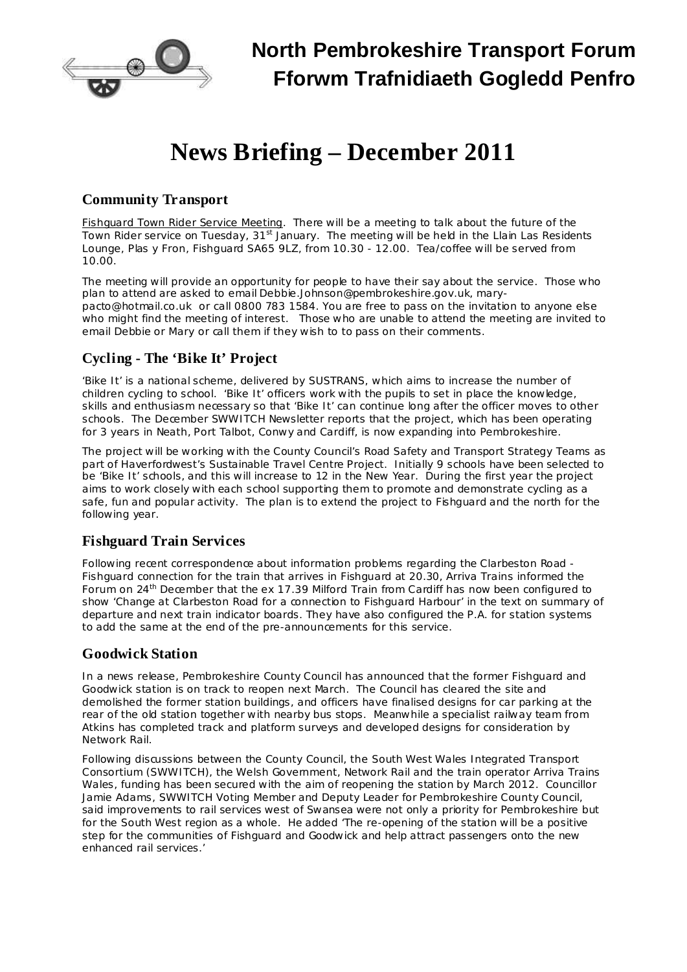

# **News Briefing – December 2011**

## **Community Transport**

Fishquard Town Rider Service Meeting. There will be a meeting to talk about the future of the Town Rider service on Tuesday, 31<sup>st</sup> January. The meeting will be held in the Llain Las Residents Lounge, Plas y Fron, Fishguard SA65 9LZ, from 10.30 - 12.00. Tea/coffee will be served from 10.00.

The meeting will provide an opportunity for people to have their say about the service. Those who plan to attend are asked to email [Debbie.Johnson@pembrokeshire.gov.uk,](mailto:Debbie.Johnson@pembrokeshire.gov.uk) [mary](mailto:mary-pacto@hotmail.co.uk)[pacto@hotmail.co.uk](mailto:mary-pacto@hotmail.co.uk) or call 0800 783 1584. You are free to pass on the invitation to anyone else who might find the meeting of interest. Those who are unable to attend the meeting are invited to email Debbie or Mary or call them if they wish to to pass on their comments.

## **Cycling - The 'Bike It' Project**

'Bike It' is a national scheme, delivered by SUSTRANS, which aims to increase the number of children cycling to school. 'Bike It' officers work with the pupils to set in place the knowledge, skills and enthusiasm necessary so that 'Bike It' can continue long after the officer moves to other schools. The December SWWITCH Newsletter reports that the project, which has been operating for 3 years in Neath, Port Talbot, Conwy and Cardiff, is now expanding into Pembrokeshire.

The project will be working with the County Council's Road Safety and Transport Strategy Teams as part of Haverfordwest's Sustainable Travel Centre Project. Initially 9 schools have been selected to be 'Bike It' schools, and this will increase to 12 in the New Year. During the first year the project aims to work closely with each school supporting them to promote and demonstrate cycling as a safe, fun and popular activity. The plan is to extend the project to Fishguard and the north for the following year.

### **Fishguard Train Services**

Following recent correspondence about information problems regarding the Clarbeston Road - Fishguard connection for the train that arrives in Fishguard at 20.30, Arriva Trains informed the Forum on 24<sup>th</sup> December that the ex 17.39 Milford Train from Cardiff has now been configured to show 'Change at Clarbeston Road for a connection to Fishguard Harbour' in the text on summary of departure and next train indicator boards. They have also configured the P.A. for station systems to add the same at the end of the pre-announcements for this service.

### **Goodwick Station**

In a news release, Pembrokeshire County Council has announced that the former Fishguard and Goodwick station is on track to reopen next March. The Council has cleared the site and demolished the former station buildings, and officers have finalised designs for car parking at the rear of the old station together with nearby bus stops. Meanwhile a specialist railway team from Atkins has completed track and platform surveys and developed designs for consideration by Network Rail.

Following discussions between the County Council, the South West Wales Integrated Transport Consortium (SWWITCH), the Welsh Government, Network Rail and the train operator Arriva Trains Wales, funding has been secured with the aim of reopening the station by March 2012. Councillor Jamie Adams, SWWITCH Voting Member and Deputy Leader for Pembrokeshire County Council, said improvements to rail services west of Swansea were not only a priority for Pembrokeshire but for the South West region as a whole. He added 'The re-opening of the station will be a positive step for the communities of Fishguard and Goodwick and help attract passengers onto the new enhanced rail services.'